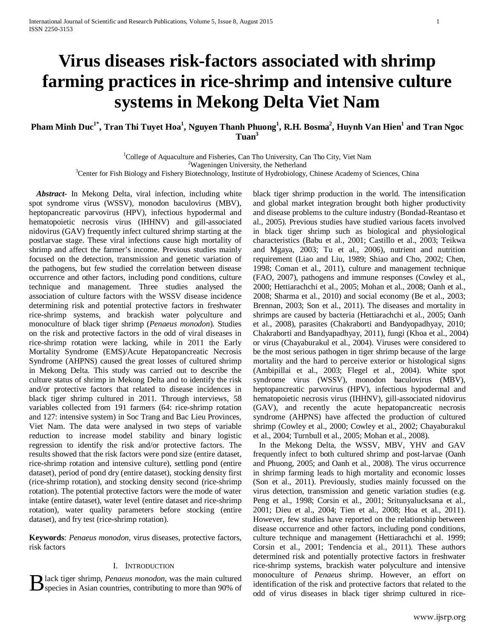# **Virus diseases risk-factors associated with shrimp farming practices in rice-shrimp and intensive culture systems in Mekong Delta Viet Nam**

# **Pham Minh Duc1\*, Tran Thi Tuyet Hoa1 , Nguyen Thanh Phuong1 , R.H. Bosma2 , Huynh Van Hien1 and Tran Ngoc Tuan3**

<sup>1</sup>College of Aquaculture and Fisheries, Can Tho University, Can Tho City, Viet Nam  $^{2}$ Wegoningon University, the Netherland Wageningen University, the Netherland <sup>3</sup> Center for Fish Biology and Fishery Biotechnology, Institute of Hydrobiology, Chinese Academy of Sciences, China

*Abstract***-** In Mekong Delta, viral infection, including white spot syndrome virus (WSSV), monodon baculovirus (MBV), heptopancreatic parvovirus (HPV), infectious hypodermal and hematopoietic necrosis virus (IHHNV) and gill-associated nidovirus (GAV) frequently infect cultured shrimp starting at the postlarvae stage. These viral infections cause high mortality of shrimp and affect the farmer's income. Previous studies mainly focused on the detection, transmission and genetic variation of the pathogens, but few studied the correlation between disease occurrence and other factors, including pond conditions, culture technique and management. Three studies analysed the association of culture factors with the WSSV disease incidence determining risk and potential protective factors in freshwater rice-shrimp systems, and brackish water polyculture and monoculture of black tiger shrimp (*Penaeus monodon*). Studies on the risk and protective factors in the odd of viral diseases in rice-shrimp rotation were lacking, while in 2011 the Early Mortality Syndrome (EMS)/Acute Hepatopancreatic Necrosis Syndrome (AHPNS) caused the great losses of cultured shrimp in Mekong Delta. This study was carried out to describe the culture status of shrimp in Mekong Delta and to identify the risk and/or protective factors that related to disease incidences in black tiger shrimp cultured in 2011. Through interviews, 58 variables collected from 191 farmers (64: rice-shrimp rotation and 127: intensive system) in Soc Trang and Bac Lieu Provinces, Viet Nam. The data were analysed in two steps of variable reduction to increase model stability and binary logistic regression to identify the risk and/or protective factors. The results showed that the risk factors were pond size (entire dataset, rice-shrimp rotation and intensive culture), settling pond (entire dataset), period of pond dry (entire dataset), stocking density first (rice-shrimp rotation), and stocking density second (rice-shrimp rotation). The potential protective factors were the mode of water intake (entire dataset), water level (entire dataset and rice-shrimp rotation), water quality parameters before stocking (entire dataset), and fry test (rice-shrimp rotation).

**Keywords**: *Penaeus monodon*, virus diseases, protective factors, risk factors

#### I. INTRODUCTION

lack tiger shrimp, *Penaeus monodon*, was the main cultured

black tiger shrimp production in the world. The intensification and global market integration brought both higher productivity and disease problems to the culture industry (Bondad-Reantaso et al., 2005). Previous studies have studied various facets involved in black tiger shrimp such as biological and physiological characteristics (Babu et al., 2001; Castillo et al., 2003; Teikwa and Mgaya, 2003; Tu et al., 2006), nutrient and nutrition requirement (Liao and Liu, 1989; Shiao and Cho, 2002; Chen, 1998; Coman et al., 2011), culture and management technique (FAO, 2007), pathogens and immune responses (Cowley et al., 2000; Hettiarachchi et al., 2005; Mohan et al., 2008; Oanh et al., 2008; Sharma et al., 2010) and social economy (Be et al., 2003; Brennan, 2003; Son et al., 2011). The diseases and mortality in shrimps are caused by bacteria (Hettiarachchi et al., 2005; Oanh et al., 2008), parasites (Chakraborti and Bandyopadhyay, 2010; Chakraborti and Bandyapadhyay, 2011), fungi (Khoa et al., 2004) or virus (Chayaburakul et al., 2004). Viruses were considered to be the most serious pathogen in tiger shrimp because of the large mortality and the hard to perceive exterior or histological signs (Ambipillai et al., 2003; Flegel et al., 2004). White spot syndrome virus (WSSV), monodon baculovirus (MBV), heptopancreatic parvovirus (HPV), infectious hypodermal and hematopoietic necrosis virus (IHHNV), gill-associated nidovirus (GAV), and recently the acute hepatopancreatic necrosis syndrome (AHPNS) have affected the production of cultured shrimp (Cowley et al., 2000; Cowley et al., 2002; Chayaburakul et al., 2004; Turnbull et al., 2005; Mohan et al., 2008).

B lack tiger shrimp, *Penaeus monodon*, was the main cultured<br>Species in Asian countries, contributing to more than 90% of identification of the risk and protective factors that related to the odd of virus diseases in blac In the Mekong Delta, the WSSV, MBV, YHV and GAV frequently infect to both cultured shrimp and post-larvae (Oanh and Phuong, 2005; and Oanh et al., 2008). The virus occurrence in shrimp farming leads to high mortality and economic losses (Son et al., 2011). Previously, studies mainly focussed on the virus detection, transmission and genetic variation studies (e.g. Peng et al., 1998; Corsin et al., 2001; Sritunyalucksana et al., 2001; Dieu et al., 2004; Tien et al., 2008; Hoa et al., 2011). However, few studies have reported on the relationship between disease occurrence and other factors, including pond conditions, culture technique and management (Hettiarachchi et al. 1999; Corsin et al., 2001; Tendencia et al., 2011). These authors determined risk and potentially protective factors in freshwater rice-shrimp systems, brackish water polyculture and intensive monoculture of *Penaeus* shrimp. However, an effort on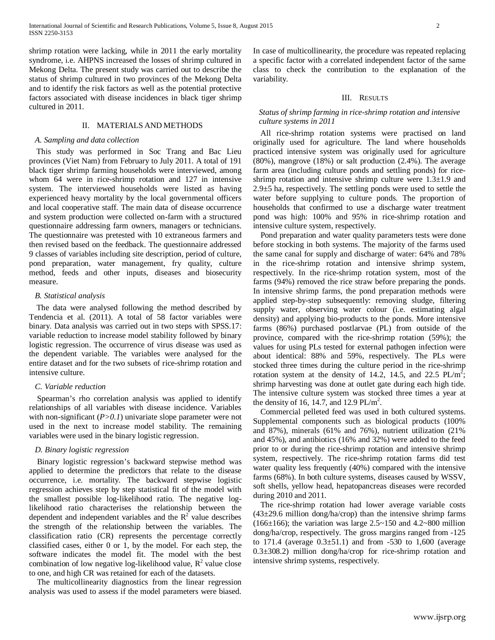shrimp rotation were lacking, while in 2011 the early mortality syndrome, i.e. AHPNS increased the losses of shrimp cultured in Mekong Delta. The present study was carried out to describe the status of shrimp cultured in two provinces of the Mekong Delta and to identify the risk factors as well as the potential protective factors associated with disease incidences in black tiger shrimp cultured in 2011.

### II. MATERIALS AND METHODS

#### *A. Sampling and data collection*

This study was performed in Soc Trang and Bac Lieu provinces (Viet Nam) from February to July 2011. A total of 191 black tiger shrimp farming households were interviewed, among whom 64 were in rice-shrimp rotation and 127 in intensive system. The interviewed households were listed as having experienced heavy mortality by the local governmental officers and local cooperative staff. The main data of disease occurrence and system production were collected on-farm with a structured questionnaire addressing farm owners, managers or technicians. The questionnaire was pretested with 10 extraneous farmers and then revised based on the feedback. The questionnaire addressed 9 classes of variables including site description, period of culture, pond preparation, water management, fry quality, culture method, feeds and other inputs, diseases and biosecurity measure.

#### *B. Statistical analysis*

The data were analysed following the method described by Tendencia et al. (2011). A total of 58 factor variables were binary. Data analysis was carried out in two steps with SPSS.17: variable reduction to increase model stability followed by binary logistic regression. The occurrence of virus disease was used as the dependent variable. The variables were analysed for the entire dataset and for the two subsets of rice-shrimp rotation and intensive culture.

#### *C. Variable reduction*

Spearman's rho correlation analysis was applied to identify relationships of all variables with disease incidence. Variables with non-significant (*P*>0.1) univariate slope parameter were not used in the next to increase model stability. The remaining variables were used in the binary logistic regression.

### *D. Binary logistic regression*

Binary logistic regression's backward stepwise method was applied to determine the predictors that relate to the disease occurrence, i.e. mortality. The backward stepwise logistic regression achieves step by step statistical fit of the model with the smallest possible log-likelihood ratio. The negative loglikelihood ratio characterises the relationship between the dependent and independent variables and the  $R<sup>2</sup>$  value describes the strength of the relationship between the variables. The classification ratio (CR) represents the percentage correctly classified cases, either 0 or 1, by the model. For each step, the software indicates the model fit. The model with the best combination of low negative log-likelihood value,  $R^2$  value close to one, and high CR was retained for each of the datasets.

The multicollinearity diagnostics from the linear regression analysis was used to assess if the model parameters were biased. In case of multicollinearity, the procedure was repeated replacing a specific factor with a correlated independent factor of the same class to check the contribution to the explanation of the variability.

#### III. RESULTS

### *Status of shrimp farming in rice-shrimp rotation and intensive culture systems in 2011*

All rice-shrimp rotation systems were practised on land originally used for agriculture. The land where households practiced intensive system was originally used for agriculture (80%), mangrove (18%) or salt production (2.4%). The average farm area (including culture ponds and settling ponds) for riceshrimp rotation and intensive shrimp culture were  $1.3\pm1.9$  and 2.9±5 ha, respectively. The settling ponds were used to settle the water before supplying to culture ponds. The proportion of households that confirmed to use a discharge water treatment pond was high: 100% and 95% in rice-shrimp rotation and intensive culture system, respectively.

Pond preparation and water quality parameters tests were done before stocking in both systems. The majority of the farms used the same canal for supply and discharge of water: 64% and 78% in the rice-shrimp rotation and intensive shrimp system, respectively. In the rice-shrimp rotation system, most of the farms (94%) removed the rice straw before preparing the ponds. In intensive shrimp farms, the pond preparation methods were applied step-by-step subsequently: removing sludge, filtering supply water, observing water colour (i.e. estimating algal density) and applying bio-products to the ponds. More intensive farms (86%) purchased postlarvae (PL) from outside of the province, compared with the rice-shrimp rotation (59%); the values for using PLs tested for external pathogen infection were about identical: 88% and 59%, respectively. The PLs were stocked three times during the culture period in the rice-shrimp rotation system at the density of 14.2, 14.5, and 22.5  $PL/m^2$ ; shrimp harvesting was done at outlet gate during each high tide. The intensive culture system was stocked three times a year at the density of 16, 14.7, and 12.9  $PL/m^2$ .

Commercial pelleted feed was used in both cultured systems. Supplemental components such as biological products (100% and 87%), minerals (61% and 76%), nutrient utilization (21% and 45%), and antibiotics (16% and 32%) were added to the feed prior to or during the rice-shrimp rotation and intensive shrimp system, respectively. The rice-shrimp rotation farms did test water quality less frequently (40%) compared with the intensive farms (68%). In both culture systems, diseases caused by WSSV, soft shells, yellow head, hepatopancreas diseases were recorded during 2010 and 2011.

The rice-shrimp rotation had lower average variable costs  $(43\pm29.6$  million dong/ha/crop) than the intensive shrimp farms (166 $\pm$ 166); the variation was large 2.5~150 and 4.2~800 million dong/ha/crop, respectively. The gross margins ranged from -125 to  $171.4$  (average  $0.3 \pm 51.1$ ) and from  $-530$  to  $1,600$  (average 0.3±308.2) million dong/ha/crop for rice-shrimp rotation and intensive shrimp systems, respectively.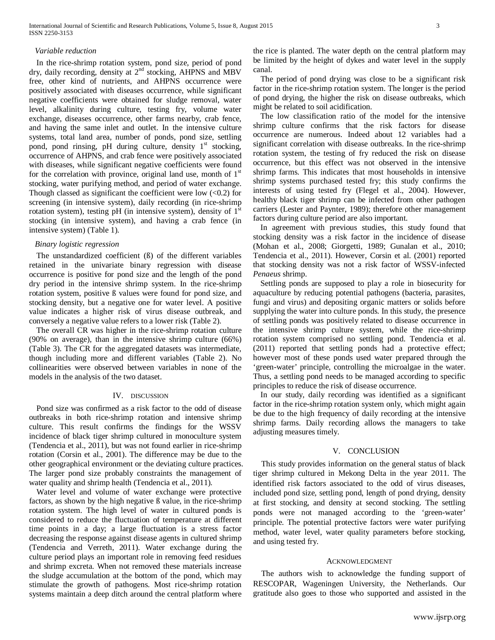#### *Variable reduction*

In the rice-shrimp rotation system, pond size, period of pond dry, daily recording, density at 2<sup>nd</sup> stocking, AHPNS and MBV free, other kind of nutrients, and AHPNS occurrence were positively associated with diseases occurrence, while significant negative coefficients were obtained for sludge removal, water level, alkalinity during culture, testing fry, volume water exchange, diseases occurrence, other farms nearby, crab fence, and having the same inlet and outlet. In the intensive culture systems, total land area, number of ponds, pond size, settling pond, pond rinsing, pH during culture, density 1<sup>st</sup> stocking, occurrence of AHPNS, and crab fence were positively associated with diseases, while significant negative coefficients were found for the correlation with province, original land use, month of  $1<sup>st</sup>$ stocking, water purifying method, and period of water exchange. Though classed as significant the coefficient were low  $(<0.2$ ) for screening (in intensive system), daily recording (in rice-shrimp rotation system), testing pH (in intensive system), density of  $1<sup>st</sup>$ stocking (in intensive system), and having a crab fence (in intensive system) (Table 1).

#### *Binary logistic regression*

The unstandardized coefficient (ß) of the different variables retained in the univariate binary regression with disease occurrence is positive for pond size and the length of the pond dry period in the intensive shrimp system. In the rice-shrimp rotation system, positive ß values were found for pond size, and stocking density, but a negative one for water level. A positive value indicates a higher risk of virus disease outbreak, and conversely a negative value refers to a lower risk (Table 2).

The overall CR was higher in the rice-shrimp rotation culture (90% on average), than in the intensive shrimp culture (66%) (Table 3). The CR for the aggregated datasets was intermediate, though including more and different variables (Table 2). No collinearities were observed between variables in none of the models in the analysis of the two dataset.

#### IV. DISCUSSION

Pond size was confirmed as a risk factor to the odd of disease outbreaks in both rice-shrimp rotation and intensive shrimp culture. This result confirms the findings for the WSSV incidence of black tiger shrimp cultured in monoculture system (Tendencia et al., 2011), but was not found earlier in rice-shrimp rotation (Corsin et al., 2001). The difference may be due to the other geographical environment or the deviating culture practices. The larger pond size probably constraints the management of water quality and shrimp health (Tendencia et al., 2011).

Water level and volume of water exchange were protective factors, as shown by the high negative ß value, in the rice-shrimp rotation system. The high level of water in cultured ponds is considered to reduce the fluctuation of temperature at different time points in a day; a large fluctuation is a stress factor decreasing the response against disease agents in cultured shrimp (Tendencia and Verreth, 2011). Water exchange during the culture period plays an important role in removing feed residues and shrimp excreta. When not removed these materials increase the sludge accumulation at the bottom of the pond, which may stimulate the growth of pathogens. Most rice-shrimp rotation systems maintain a deep ditch around the central platform where the rice is planted. The water depth on the central platform may be limited by the height of dykes and water level in the supply canal.

The period of pond drying was close to be a significant risk factor in the rice-shrimp rotation system. The longer is the period of pond drying, the higher the risk on disease outbreaks, which might be related to soil acidification.

The low classification ratio of the model for the intensive shrimp culture confirms that the risk factors for disease occurrence are numerous. Indeed about 12 variables had a significant correlation with disease outbreaks. In the rice-shrimp rotation system, the testing of fry reduced the risk on disease occurrence, but this effect was not observed in the intensive shrimp farms. This indicates that most households in intensive shrimp systems purchased tested fry; this study confirms the interests of using tested fry (Flegel et al., 2004). However, healthy black tiger shrimp can be infected from other pathogen carriers (Lester and Paynter, 1989); therefore other management factors during culture period are also important.

In agreement with previous studies, this study found that stocking density was a risk factor in the incidence of disease (Mohan et al., 2008; Giorgetti, 1989; Gunalan et al., 2010; Tendencia et al., 2011). However, Corsin et al. (2001) reported that stocking density was not a risk factor of WSSV-infected *Penaeus* shrimp.

Settling ponds are supposed to play a role in biosecurity for aquaculture by reducing potential pathogens (bacteria, parasites, fungi and virus) and depositing organic matters or solids before supplying the water into culture ponds. In this study, the presence of settling ponds was positively related to disease occurrence in the intensive shrimp culture system, while the rice-shrimp rotation system comprised no settling pond. Tendencia et al. (2011) reported that settling ponds had a protective effect; however most of these ponds used water prepared through the 'green-water' principle, controlling the microalgae in the water. Thus, a settling pond needs to be managed according to specific principles to reduce the risk of disease occurrence.

In our study, daily recording was identified as a significant factor in the rice-shrimp rotation system only, which might again be due to the high frequency of daily recording at the intensive shrimp farms. Daily recording allows the managers to take adjusting measures timely.

## V. CONCLUSION

This study provides information on the general status of black tiger shrimp cultured in Mekong Delta in the year 2011. The identified risk factors associated to the odd of virus diseases, included pond size, settling pond, length of pond drying, density at first stocking, and density at second stocking. The settling ponds were not managed according to the 'green-water' principle. The potential protective factors were water purifying method, water level, water quality parameters before stocking, and using tested fry.

#### ACKNOWLEDGMENT

The authors wish to acknowledge the funding support of RESCOPAR, Wageningen University, the Netherlands. Our gratitude also goes to those who supported and assisted in the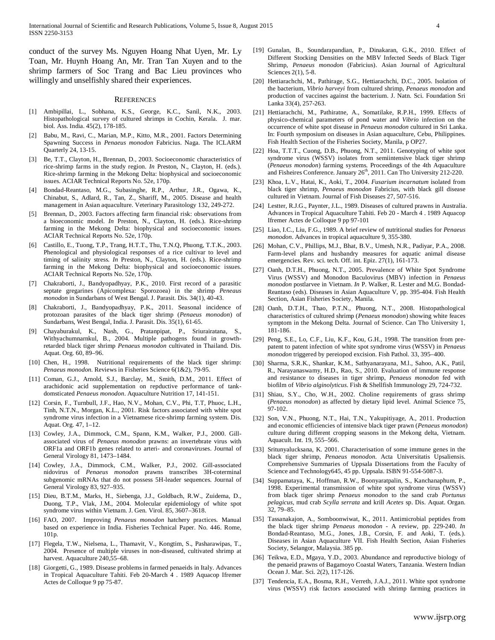conduct of the survey Ms. Nguyen Hoang Nhat Uyen, Mr. Ly Toan, Mr. Huynh Hoang An, Mr. Tran Tan Xuyen and to the shrimp farmers of Soc Trang and Bac Lieu provinces who willingly and unselfishly shared their experiences.

#### **REFERENCES**

- [1] Ambipillai, L., Sobhana, K.S., George, K.C., Sanil, N.K., 2003. Histopathological survey of cultured shrimps in Cochin, Kerala. J. mar. biol. Ass. India. 45(2), 178-185.
- [2] Babu, M., Ravi, C., Marian, M.P., Kitto, M.R., 2001. Factors Determining Spawning Success in *Penaeus monodon* Fabricius. Naga. The ICLARM Quarterly 24, 13-15.
- [3] Be, T.T., Clayton, H., Brennan, D., 2003. Socioeconomic characteristics of rice-shrimp farms in the study region. *In* Preston, N., Clayton, H. (eds.). Rice-shrimp farming in the Mekong Delta: biophysical and socioeconomic issues. ACIAR Technical Reports No. 52e, 170p.
- [4] Bondad-Reantaso, M.G., Subasinghe, R.P., Arthur, J.R., Ogawa, K., Chinabut, S., Adlard, R., Tan, Z., Shariff, M., 2005. Disease and health management in Asian aquaculture. Veterinary Parasitology 132, 249-272.
- [5] Brennan, D., 2003. Factors affecting farm financial risk: observations from a bioeconomic model. *In* Preston, N., Clayton, H. (eds.). Rice-shrimp farming in the Mekong Delta: biophysical and socioeconomic issues. ACIAR Technical Reports No. 52e, 170p.
- [6] Castillo, E., Tuong, T.P., Trang, H.T.T., Thu, T.N.Q, Phuong, T.T.K., 2003. Phenological and physiological responses of a rice cultivar to level and timing of salinity stress. *In* Preston, N., Clayton, H. (eds.). Rice-shrimp farming in the Mekong Delta: biophysical and socioeconomic issues. ACIAR Technical Reports No. 52e, 170p.
- [7] Chakraborti, J., Bandyopadhyay, P.K., 2010. First record of a parasitic septate gregarines (Apicomplexa: Sporozoea) in the shrimp *Peneaus monodon* in Sundarbans of West Bengal. J. Parasit. Dis. 34(1), 40-43.
- [8] Chakraborti, J., Bandyopadhyay, P.K., 2011. Seasonal incidence of protozoan parasites of the black tiger shrimp (*Penaeus monodon*) of Sundarbans, West Bengal, India. J. Parasit. Dis. 35(1), 61-65.
- [9] Chayaburakul, K., Nash, G., Pratanpipat, P., Sriurairatana, S., Withyachumnarnkul, B., 2004. Multiple pathogens found in growthretarded black tiger shrimp *Penaeus monodon* cultivated in Thailand. Dis. Aquat. Org. 60, 89–96.
- [10] Chen, H., 1998. Nutritional requirements of the black tiger shrimp: *Penaeus monodon.* Reviews in Fisheries Science 6(1&2), 79-95.
- [11] Coman, G.J., Arnold, S.J., Barclay, M., Smith, D.M., 2011. Effect of arachidonic acid supplementation on repductive performance of tankdomsticated *Penaeus monodon*. Aquaculture Nutrition 17, 141-151.
- [12] Corsin, F., Turnbull, J.F., Hao, N.V., Mohan, C.V., Phi, T.T, Phuoc, L.H., Tinh, N.T.N., Morgan, K.L., 2001. Risk factors associated with white spot syndrome virus infection in a Vietnamese rice-shrimp farming system. Dis. Aquat. Org. 47, 1–12.
- [13] Cowley, J.A., Dimmock, C.M., Spann, K.M., Walker, P.J., 2000. Gillassociated virus of *Penaeus monodon* prawns: an invertebrate virus with ORF1a and ORF1b genes related to arteri- and coronaviruses. Journal of General Virology 81, 1473–1484.
- [14] Cowley, J.A., Dimmock, C.M., Walker, P.J., 2002. Gill-associated nidovirus of *Penaeus monodon* prawns transcribes 3H-coterminal subgenomic mRNAs that do not possess 5H-leader sequences. Journal of General Virology 83, 927–935.
- [15] Dieu, B.T.M., Marks, H., Siebenga, J.J., Goldbach, R.W., Zuidema, D., Duong, T.P., Vlak, J.M., 2004. Molecular epidemiology of white spot syndrome virus within Vietnam. J. Gen. Virol. 85, 3607–3618.
- [16] FAO, 2007. Improving *Penaeus monodon* hatchery practices. Manual based on experience in India. Fisheries Technical Paper. No. 446. Rome, 101p.
- [17] Flegela, T.W., Nielsena, L., Thamavit, V., Kongtim, S., Pasharawipas, T., 2004. Presence of multiple viruses in non-diseased, cultivated shrimp at harvest. Aquaculture 240,55–68.
- [18] Giorgetti, G., 1989. Disease problems in farmed penaeids in Italy. Advances in Tropical Aquaculture Tahiti. Feb 20-March 4 . 1989 Aquacop Ifremer Actes de Colloque 9 pp 75-87.
- [19] Gunalan, B., Soundarapandian, P., Dinakaran, G.K., 2010. Effect of Different Stocking Densities on the MBV Infected Seeds of Black Tiger Shrimp, *Penaeus monodon* (Fabricius). Asian Journal of Agricultural Sciences 2(1), 5-8.
- [20] Hettiarachchi, M., Pathirage, S.G., Hettiarachchi, D.C., 2005. Isolation of the bacterium, *Vibrio harveyi* from cultured shrimp, *Penaeus monodon* and production of vaccines against the bacterium. J. Natn. Sci. Foundation Sri Lanka 33(4), 257-263.
- [21] Hettiarachchi, M., Pathiratne, A., Somatilake, R.P.H., 1999. Effects of physico-chemical parameters of pond water and *Vibrio* infection on the occurrence of white spot disease in *Penaeus monodon* cultured in Sri Lanka. In: Fourth symposium on diseases in Asian aquaculture, Cebu, Philippines. Fish Health Section of the Fisheries Society, Manila, p OP27.
- [22] Hoa, T.T.T., Cuong, D.B., Phuong, N.T., 2011. Genotyping of white spot syndrome virus (WSSV) isolates from semiintensive black tiger shrimp (*Penaeus monodon*) farming systems. Proceedings of the 4th Aquaculture and Fisheires Conference. January 26<sup>th</sup>, 2011. Can Tho University 212-220.
- [23] Khoa, L.V., Hatai, K., Aoki, T., 2004. *Fusarium incarnatum* isolated from black tiger shrimp, *Penaeus monodon* Fabricius, with black gill disease cultured in Vietnam. Journal of Fish Diseases 27, 507-516.
- [24] Lestter, R.J.G., Paynter, J.L., 1989. Diseases of cultured prawns in Australia. Advances in Tropical Aquaculture Tahiti. Feb 20 - March 4 . 1989 Aquacop Ifremer Actes de Colloque 9 pp 97-101
- [25] Liao, I.C., Liu, F.G., 1989. A brief review of nutritional studies for *Penaeus monodon*. Advances in tropical aquaculture 9, 355-380.
- [26] Mohan, C.V., Phillips, M.J., Bhat, B.V., Umesh, N.R., Padiyar, P.A., 2008. Farm-level plans and husbandry measures for aquatic animal disease emergencies. Rev. sci. tech. Off. int. Epiz. 27(1), 161-173.
- [27] Oanh, D.T.H., Phuong, N.T., 2005. Prevalence of White Spot Syndrome Virus (WSSV) and Monodon Baculovirus (MBV) infection in *Penaeus monodon* postlarvee in Vietnam. *In* P. Walker, R. Lester and M.G. Bondad-Reantaso (eds). Diseases in Asian Aquaculture V, pp. 395-404. Fish Health Section, Asian Fisheries Society, Manila.
- [28] Oanh, D.T.H., Thao, P.T.N., Phuong, N.T., 2008. Histopathological characteristics of cultured shrimp (*Penaeus monodon*) showing white feaces symptom in the Mekong Delta. Journal of Science. Can Tho University 1, 181-186.
- [29] Peng, S.E., Lo, C.F., Liu, K.F., Kou, G.H., 1998. The transition from prepatent to patent infection of white spot syndrome virus (WSSV) in *Penaeus monodon* triggered by pereiopod excision. Fish Pathol. 33, 395–400.
- [30] Sharma, S.R.K., Shankar, K.M., Sathyanarayana, M.l., Sahoo, A.K., Patil, R., Narayanaswamy, H.D., Rao, S., 2010. Evaluation of immune response and resistance to diseases in tiger shrimp, *Penaeus monodon* fed with biofilm of *Vibrio alginolyticus*. Fish & Shellfish Immunology 29, 724-732.
- [31] Shiau, S.Y., Cho, W.H., 2002. Choline requirements of grass shrimp (*Penaeus monodon*) as affected by dietary lipid level. Animal Science 75, 97-102.
- [32] Son, V.N., Phuong, N.T., Hai, T.N., Yakupitiyage, A., 2011. Production and economic efficiencies of intensive black tiger prawn (*Penaeus monodon*) culture during different cropping seasons in the Mekong delta, Vietnam. Aquacult. Int. 19, 555–566.
- [33] Sritunyalucksana, K. 2001. Characterisation of some immune genes in the black tiger shrimp, *Penaeus monodon.* Acta Universitatis Upsaliensis. Comprehensive Summaries of Uppsala Dissertations from the Faculty of Science and Technology645, 45 pp. Uppsala. ISBN 91-554-5087-3.
- [34] Suppamataya, K., Hoffman, R.W., Boonyaratpalin, S., Kanchanaphum, P., 1998. Experimental transmission of white spot syndrome virus (WSSV) from black tiger shrimp *Penaeus monodon* to the sand crab *Portunus pelagicus*, mud crab *Scylla serrata* and krill *Acetes* sp. Dis. Aquat. Organ. 32, 79–85.
- [35] Tassanakajon, A., Somboonwiwat, K., 2011. Antimicrobial peptides from the black tiger shrimp *Penaeus monodon* - A review, pp. 229-240. *In*  Bondad-Reantaso, M.G., Jones, J.B., Corsin, F. and Aoki, T. (eds.). Diseases in Asian Aquaculture VII. Fish Health Section, Asian Fisheries Society, Selangor, Malaysia. 385 pp.
- [36] Teikwa, E.D., Mgaya, Y.D., 2003. Abundance and reproductive biology of the penaeid prawns of Bagamoyo Coastal Waters, Tanzania. Western Indian Ocean J. Mar. Sci. 2(2), 117-126.
- [37] Tendencia, E.A., Bosma, R.H., Verreth, J.A.J., 2011. White spot syndrome virus (WSSV) risk factors associated with shrimp farming practices in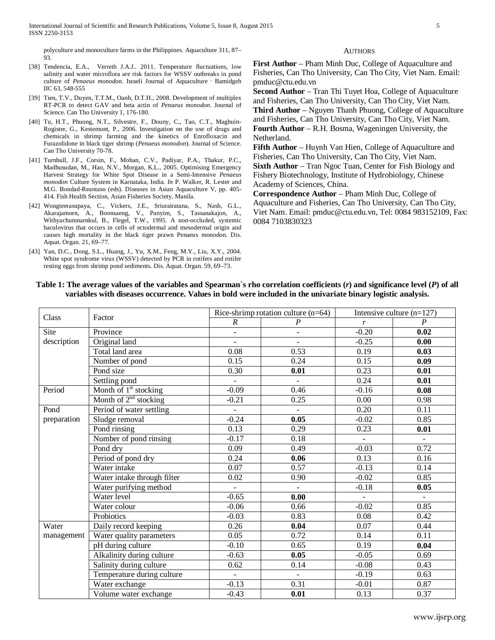polyculture and monoculture farms in the Philippines. Aquaculture 311, 87– 93.

- [38] Tendencia, E.A., Verreth J.A.J.. 2011. Temperature fluctuations, low salinity and water microflora are risk factors for WSSV outbreaks in pond culture of *Penaeus monodon*. Israeli Journal of Aquaculture - Bamidgeh IIC 63, 548-555
- [39] Tien, T.V., Duyen, T.T.M., Oanh, D.T.H., 2008. Development of multiplex RT-PCR to detect GAV and beta actin of *Penaeus monodon*. Journal of Science. Can Tho University 1, 176-180.
- [40] Tu, H.T., Phuong, N.T., Silvestre, F., Douny, C., Tao, C.T., Maghuin-Rogister, G., Kestemont, P., 2006. Investigation on the use of drugs and chemicals in shrimp farming and the kinetics of Enrofloxacin and Furazolidone in black tiger shrimp (*Penaeus monodon*). Journal of Science. Can Tho University 70-78.
- [41] Turnbull, J.F., Corsin, F., Mohan, C.V., Padiyar, P.A., Thakur, P.C., Madhusudan, M., Hao, N.V., Morgan, K.L., 2005. Optimising Emergency Harvest Strategy for White Spot Disease in a Semi-Intensive *Penaeus monodon* Culture System in Karnataka, India. *In* P. Walker, R. Lester and M.G. Bondad-Reantaso (eds). Diseases in Asian Aquaculture V, pp. 405- 414. Fish Health Section, Asian Fisheries Society, Manila.
- [42] Wongteerasupaya, C., Vickers, J.E., Sriurairatana, S., Nash, G.L., Akarajamorn, A., Boonsaeng, V., Panyim, S., Tassanakajon, A., Withyachumnarnkul, B., Flegel, T.W., 1995. A non-occluded, systemic baculovirus that occurs in cells of ectodermal and mesodermal origin and causes high mortality in the black tiger prawn Penaeus monodon. Dis. Aquat. Organ. 21, 69–77.
- [43] Yan, D.C., Dong, S.L., Huang, J., Yu, X.M., Feng, M.Y., Liu, X.Y., 2004. White spot syndrome virus (WSSV) detected by PCR in rotifers and rotifer resting eggs from shrimp pond sediments. Dis. Aquat. Organ. 59, 69–73.

#### **AUTHORS**

**First Author** – Pham Minh Duc, College of Aquaculture and Fisheries, Can Tho University, Can Tho City, Viet Nam. Email: pmduc@ctu.edu.vn

**Second Author** – Tran Thi Tuyet Hoa, College of Aquaculture and Fisheries, Can Tho University, Can Tho City, Viet Nam. **Third Author** – Nguyen Thanh Phuong, College of Aquaculture and Fisheries, Can Tho University, Can Tho City, Viet Nam. **Fourth Author** – R.H. Bosma, Wageningen University, the Netherland.

**Fifth Author** – Huynh Van Hien, College of Aquaculture and Fisheries, Can Tho University, Can Tho City, Viet Nam. **Sixth Author** – Tran Ngoc Tuan, Center for Fish Biology and Fishery Biotechnology, Institute of Hydrobiology, Chinese Academy of Sciences, China.

**Correspondence Author** – Pham Minh Duc, College of Aquaculture and Fisheries, Can Tho University, Can Tho City, Viet Nam. Email: pmduc@ctu.edu.vn, Tel: 0084 983152109, Fax: 0084 7103830323

| Class       | Factor                            |                          | Rice-shrimp rotation culture $(n=64)$ | Intensive culture $(n=127)$ |                  |  |
|-------------|-----------------------------------|--------------------------|---------------------------------------|-----------------------------|------------------|--|
|             |                                   | $\boldsymbol{R}$         | $\boldsymbol{P}$                      | r                           | $\boldsymbol{P}$ |  |
| Site        | Province                          | $\overline{\phantom{0}}$ | $\blacksquare$                        | $-0.20$                     | 0.02             |  |
| description | Original land                     | $\overline{\phantom{0}}$ | $\overline{\phantom{a}}$              | $-0.25$                     | 0.00             |  |
|             | Total land area                   | 0.08                     | 0.53                                  | 0.19                        | 0.03             |  |
|             | Number of pond                    | 0.15                     | 0.24                                  | 0.15                        | 0.09             |  |
|             | Pond size                         | 0.30                     | 0.01                                  | 0.23                        | 0.01             |  |
|             | Settling pond                     | $\blacksquare$           | $\blacksquare$                        | 0.24                        | 0.01             |  |
| Period      | Month of 1 <sup>st</sup> stocking | $-0.09$                  | 0.46                                  | $-0.16$                     | 0.08             |  |
|             | Month of $2nd$ stocking           | $-0.21$                  | 0.25                                  | 0.00                        | 0.98             |  |
| Pond        | Period of water settling          | $\equiv$                 | $\blacksquare$                        | 0.20                        | 0.11             |  |
| preparation | Sludge removal                    | $-0.24$                  | 0.05                                  | $-0.02$                     | 0.85             |  |
|             | Pond rinsing                      | 0.13                     | 0.29                                  | 0.23                        | 0.01             |  |
|             | Number of pond rinsing            | $-0.17$                  | 0.18                                  | $\blacksquare$              | $\equiv$         |  |
|             | Pond dry                          | 0.09                     | 0.49                                  | $-0.03$                     | 0.72             |  |
|             | Period of pond dry                | 0.24                     | 0.06                                  | 0.13                        | 0.16             |  |
|             | Water intake                      | 0.07                     | 0.57                                  | $-0.13$                     | 0.14             |  |
|             | Water intake through filter       | 0.02                     | 0.90                                  | $-0.02$                     | 0.85             |  |
|             | Water purifying method            | ÷.                       | $\omega$                              | $-0.18$                     | 0.05             |  |
|             | Water level                       | $-0.65$                  | 0.00                                  | $\overline{\phantom{a}}$    | $\omega_{\rm c}$ |  |
|             | Water colour                      | $-0.06$                  | 0.66                                  | $-0.02$                     | 0.85             |  |
|             | Probiotics                        | $-0.03$                  | 0.83                                  | 0.08                        | 0.42             |  |
| Water       | Daily record keeping              | 0.26                     | 0.04                                  | 0.07                        | 0.44             |  |
| management  | Water quality parameters          | 0.05                     | 0.72                                  | 0.14                        | 0.11             |  |
|             | pH during culture                 | $-0.10$                  | 0.65                                  | 0.19                        | 0.04             |  |
|             | Alkalinity during culture         | $-0.63$                  | 0.05                                  | $-0.05$                     | 0.69             |  |
|             | Salinity during culture           | 0.62                     | 0.14                                  | $-0.08$                     | 0.43             |  |
|             | Temperature during culture        | $\blacksquare$           | $\blacksquare$                        | $-0.19$                     | 0.63             |  |
|             | Water exchange                    | $-0.13$                  | 0.31                                  | $-0.01$                     | 0.87             |  |
|             | Volume water exchange             | $-0.43$                  | 0.01                                  | 0.13                        | 0.37             |  |

**Table 1: The average values of the variables and Spearman`s rho correlation coefficients (***r***) and significance level (***P***) of all variables with diseases occurrence. Values in bold were included in the univariate binary logistic analysis.**